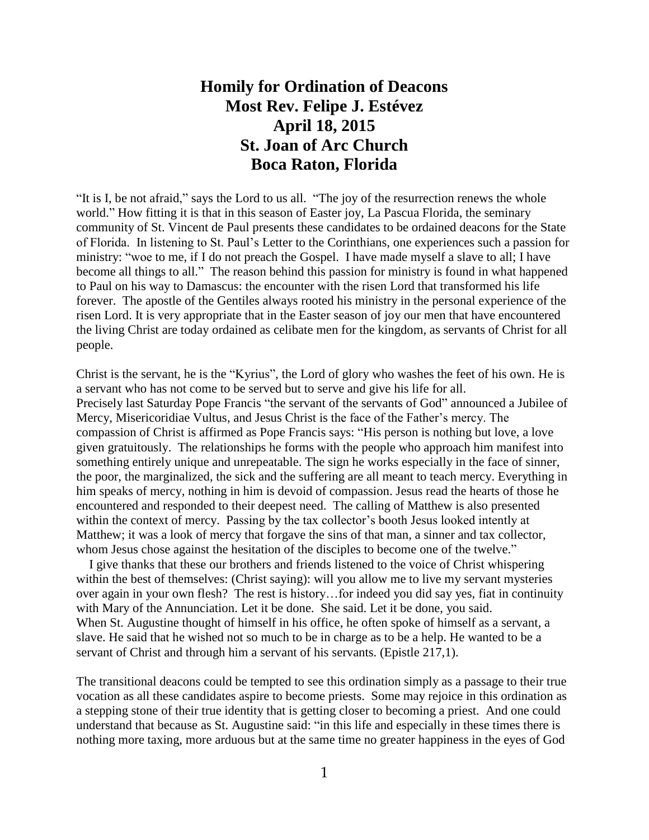## **Homily for Ordination of Deacons Most Rev. Felipe J. Estévez April 18, 2015 St. Joan of Arc Church Boca Raton, Florida**

"It is I, be not afraid," says the Lord to us all. "The joy of the resurrection renews the whole world." How fitting it is that in this season of Easter joy, La Pascua Florida, the seminary community of St. Vincent de Paul presents these candidates to be ordained deacons for the State of Florida. In listening to St. Paul's Letter to the Corinthians, one experiences such a passion for ministry: "woe to me, if I do not preach the Gospel. I have made myself a slave to all; I have become all things to all." The reason behind this passion for ministry is found in what happened to Paul on his way to Damascus: the encounter with the risen Lord that transformed his life forever. The apostle of the Gentiles always rooted his ministry in the personal experience of the risen Lord. It is very appropriate that in the Easter season of joy our men that have encountered the living Christ are today ordained as celibate men for the kingdom, as servants of Christ for all people.

Christ is the servant, he is the "Kyrius", the Lord of glory who washes the feet of his own. He is a servant who has not come to be served but to serve and give his life for all. Precisely last Saturday Pope Francis "the servant of the servants of God" announced a Jubilee of Mercy, Misericoridiae Vultus, and Jesus Christ is the face of the Father's mercy. The compassion of Christ is affirmed as Pope Francis says: "His person is nothing but love, a love given gratuitously. The relationships he forms with the people who approach him manifest into something entirely unique and unrepeatable. The sign he works especially in the face of sinner, the poor, the marginalized, the sick and the suffering are all meant to teach mercy. Everything in him speaks of mercy, nothing in him is devoid of compassion. Jesus read the hearts of those he encountered and responded to their deepest need. The calling of Matthew is also presented within the context of mercy. Passing by the tax collector's booth Jesus looked intently at Matthew; it was a look of mercy that forgave the sins of that man, a sinner and tax collector, whom Jesus chose against the hesitation of the disciples to become one of the twelve."

 I give thanks that these our brothers and friends listened to the voice of Christ whispering within the best of themselves: (Christ saying): will you allow me to live my servant mysteries over again in your own flesh? The rest is history…for indeed you did say yes, fiat in continuity with Mary of the Annunciation. Let it be done. She said. Let it be done, you said. When St. Augustine thought of himself in his office, he often spoke of himself as a servant, a slave. He said that he wished not so much to be in charge as to be a help. He wanted to be a servant of Christ and through him a servant of his servants. (Epistle 217,1).

The transitional deacons could be tempted to see this ordination simply as a passage to their true vocation as all these candidates aspire to become priests. Some may rejoice in this ordination as a stepping stone of their true identity that is getting closer to becoming a priest. And one could understand that because as St. Augustine said: "in this life and especially in these times there is nothing more taxing, more arduous but at the same time no greater happiness in the eyes of God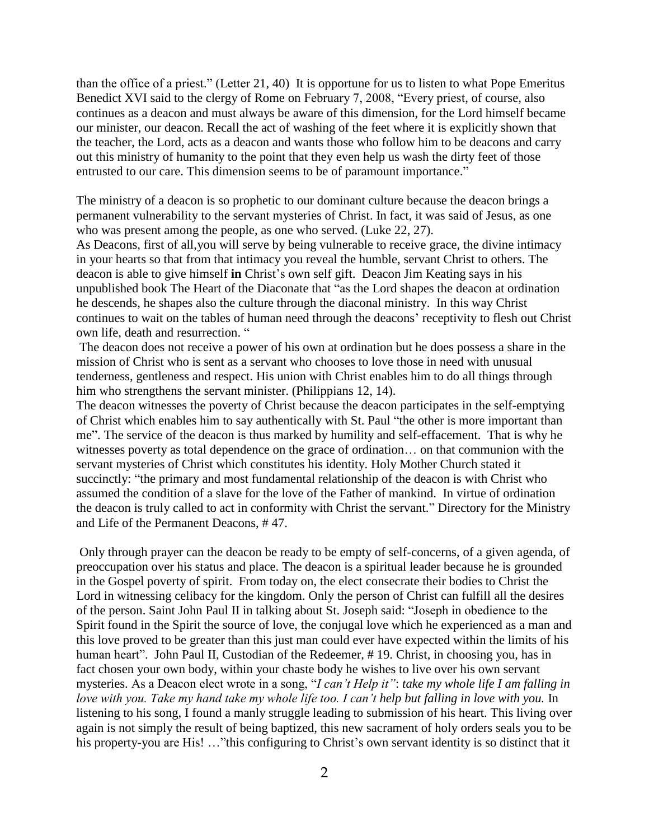than the office of a priest." (Letter 21, 40) It is opportune for us to listen to what Pope Emeritus Benedict XVI said to the clergy of Rome on February 7, 2008, "Every priest, of course, also continues as a deacon and must always be aware of this dimension, for the Lord himself became our minister, our deacon. Recall the act of washing of the feet where it is explicitly shown that the teacher, the Lord, acts as a deacon and wants those who follow him to be deacons and carry out this ministry of humanity to the point that they even help us wash the dirty feet of those entrusted to our care. This dimension seems to be of paramount importance."

The ministry of a deacon is so prophetic to our dominant culture because the deacon brings a permanent vulnerability to the servant mysteries of Christ. In fact, it was said of Jesus, as one who was present among the people, as one who served. (Luke 22, 27).

As Deacons, first of all,you will serve by being vulnerable to receive grace, the divine intimacy in your hearts so that from that intimacy you reveal the humble, servant Christ to others. The deacon is able to give himself **in** Christ's own self gift. Deacon Jim Keating says in his unpublished book The Heart of the Diaconate that "as the Lord shapes the deacon at ordination he descends, he shapes also the culture through the diaconal ministry. In this way Christ continues to wait on the tables of human need through the deacons' receptivity to flesh out Christ own life, death and resurrection. "

The deacon does not receive a power of his own at ordination but he does possess a share in the mission of Christ who is sent as a servant who chooses to love those in need with unusual tenderness, gentleness and respect. His union with Christ enables him to do all things through him who strengthens the servant minister. (Philippians 12, 14).

The deacon witnesses the poverty of Christ because the deacon participates in the self-emptying of Christ which enables him to say authentically with St. Paul "the other is more important than me". The service of the deacon is thus marked by humility and self-effacement. That is why he witnesses poverty as total dependence on the grace of ordination… on that communion with the servant mysteries of Christ which constitutes his identity. Holy Mother Church stated it succinctly: "the primary and most fundamental relationship of the deacon is with Christ who assumed the condition of a slave for the love of the Father of mankind. In virtue of ordination the deacon is truly called to act in conformity with Christ the servant." Directory for the Ministry and Life of the Permanent Deacons, # 47.

Only through prayer can the deacon be ready to be empty of self-concerns, of a given agenda, of preoccupation over his status and place. The deacon is a spiritual leader because he is grounded in the Gospel poverty of spirit. From today on, the elect consecrate their bodies to Christ the Lord in witnessing celibacy for the kingdom. Only the person of Christ can fulfill all the desires of the person. Saint John Paul II in talking about St. Joseph said: "Joseph in obedience to the Spirit found in the Spirit the source of love, the conjugal love which he experienced as a man and this love proved to be greater than this just man could ever have expected within the limits of his human heart". John Paul II, Custodian of the Redeemer, #19. Christ, in choosing you, has in fact chosen your own body, within your chaste body he wishes to live over his own servant mysteries. As a Deacon elect wrote in a song, "*I can't Help it"*: *take my whole life I am falling in love with you. Take my hand take my whole life too. I can't help but falling in love with you.* In listening to his song, I found a manly struggle leading to submission of his heart. This living over again is not simply the result of being baptized, this new sacrament of holy orders seals you to be his property-you are His! ..."this configuring to Christ's own servant identity is so distinct that it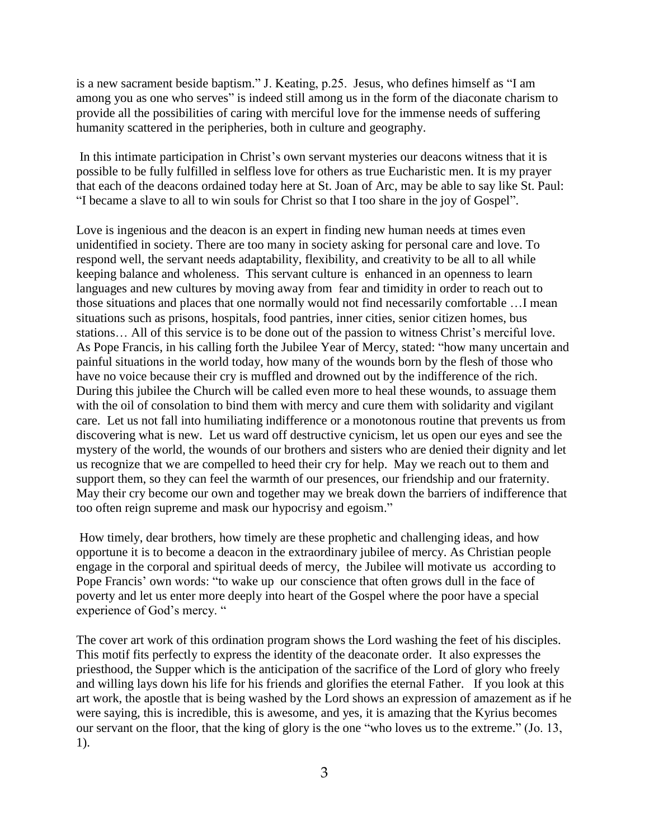is a new sacrament beside baptism." J. Keating, p.25. Jesus, who defines himself as "I am among you as one who serves" is indeed still among us in the form of the diaconate charism to provide all the possibilities of caring with merciful love for the immense needs of suffering humanity scattered in the peripheries, both in culture and geography.

In this intimate participation in Christ's own servant mysteries our deacons witness that it is possible to be fully fulfilled in selfless love for others as true Eucharistic men. It is my prayer that each of the deacons ordained today here at St. Joan of Arc, may be able to say like St. Paul: "I became a slave to all to win souls for Christ so that I too share in the joy of Gospel".

Love is ingenious and the deacon is an expert in finding new human needs at times even unidentified in society. There are too many in society asking for personal care and love. To respond well, the servant needs adaptability, flexibility, and creativity to be all to all while keeping balance and wholeness. This servant culture is enhanced in an openness to learn languages and new cultures by moving away from fear and timidity in order to reach out to those situations and places that one normally would not find necessarily comfortable …I mean situations such as prisons, hospitals, food pantries, inner cities, senior citizen homes, bus stations… All of this service is to be done out of the passion to witness Christ's merciful love. As Pope Francis, in his calling forth the Jubilee Year of Mercy, stated: "how many uncertain and painful situations in the world today, how many of the wounds born by the flesh of those who have no voice because their cry is muffled and drowned out by the indifference of the rich. During this jubilee the Church will be called even more to heal these wounds, to assuage them with the oil of consolation to bind them with mercy and cure them with solidarity and vigilant care. Let us not fall into humiliating indifference or a monotonous routine that prevents us from discovering what is new. Let us ward off destructive cynicism, let us open our eyes and see the mystery of the world, the wounds of our brothers and sisters who are denied their dignity and let us recognize that we are compelled to heed their cry for help. May we reach out to them and support them, so they can feel the warmth of our presences, our friendship and our fraternity. May their cry become our own and together may we break down the barriers of indifference that too often reign supreme and mask our hypocrisy and egoism."

How timely, dear brothers, how timely are these prophetic and challenging ideas, and how opportune it is to become a deacon in the extraordinary jubilee of mercy. As Christian people engage in the corporal and spiritual deeds of mercy, the Jubilee will motivate us according to Pope Francis' own words: "to wake up our conscience that often grows dull in the face of poverty and let us enter more deeply into heart of the Gospel where the poor have a special experience of God's mercy. "

The cover art work of this ordination program shows the Lord washing the feet of his disciples. This motif fits perfectly to express the identity of the deaconate order. It also expresses the priesthood, the Supper which is the anticipation of the sacrifice of the Lord of glory who freely and willing lays down his life for his friends and glorifies the eternal Father. If you look at this art work, the apostle that is being washed by the Lord shows an expression of amazement as if he were saying, this is incredible, this is awesome, and yes, it is amazing that the Kyrius becomes our servant on the floor, that the king of glory is the one "who loves us to the extreme." (Jo. 13, 1).